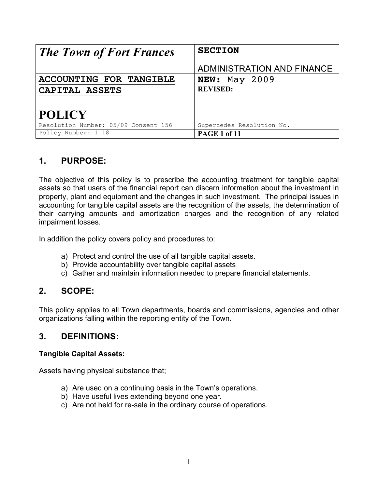| <b>The Town of Fort Frances</b>      | <b>SECTION</b>             |
|--------------------------------------|----------------------------|
|                                      | ADMINISTRATION AND FINANCE |
| ACCOUNTING FOR TANGIBLE              | <b>NEW:</b> May 2009       |
| CAPITAL ASSETS                       | <b>REVISED:</b>            |
|                                      |                            |
| <b>POLICY</b>                        |                            |
| Resolution Number: 05/09 Consent 156 | Supercedes Resolution No.  |
| Policy Number: 1.18                  | PAGE 1 of 11               |

# **1. PURPOSE:**

The objective of this policy is to prescribe the accounting treatment for tangible capital assets so that users of the financial report can discern information about the investment in property, plant and equipment and the changes in such investment. The principal issues in accounting for tangible capital assets are the recognition of the assets, the determination of their carrying amounts and amortization charges and the recognition of any related impairment losses.

In addition the policy covers policy and procedures to:

- a) Protect and control the use of all tangible capital assets.
- b) Provide accountability over tangible capital assets
- c) Gather and maintain information needed to prepare financial statements.

## **2. SCOPE:**

This policy applies to all Town departments, boards and commissions, agencies and other organizations falling within the reporting entity of the Town.

## **3. DEFINITIONS:**

## **Tangible Capital Assets:**

Assets having physical substance that;

- a) Are used on a continuing basis in the Town's operations.
- b) Have useful lives extending beyond one year.
- c) Are not held for re-sale in the ordinary course of operations.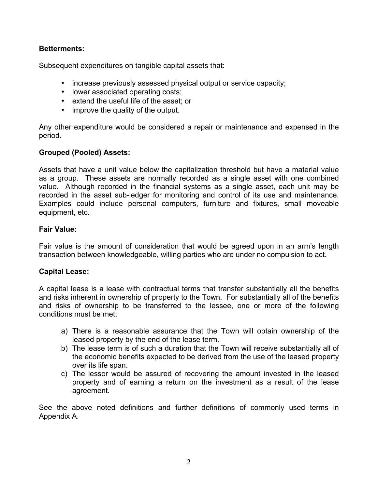## **Betterments:**

Subsequent expenditures on tangible capital assets that:

- increase previously assessed physical output or service capacity;
- lower associated operating costs;
- extend the useful life of the asset; or
- improve the quality of the output.

Any other expenditure would be considered a repair or maintenance and expensed in the period.

## **Grouped (Pooled) Assets:**

Assets that have a unit value below the capitalization threshold but have a material value as a group. These assets are normally recorded as a single asset with one combined value. Although recorded in the financial systems as a single asset, each unit may be recorded in the asset sub-ledger for monitoring and control of its use and maintenance. Examples could include personal computers, furniture and fixtures, small moveable equipment, etc.

### **Fair Value:**

Fair value is the amount of consideration that would be agreed upon in an arm's length transaction between knowledgeable, willing parties who are under no compulsion to act.

## **Capital Lease:**

A capital lease is a lease with contractual terms that transfer substantially all the benefits and risks inherent in ownership of property to the Town. For substantially all of the benefits and risks of ownership to be transferred to the lessee, one or more of the following conditions must be met;

- a) There is a reasonable assurance that the Town will obtain ownership of the leased property by the end of the lease term.
- b) The lease term is of such a duration that the Town will receive substantially all of the economic benefits expected to be derived from the use of the leased property over its life span.
- c) The lessor would be assured of recovering the amount invested in the leased property and of earning a return on the investment as a result of the lease agreement.

See the above noted definitions and further definitions of commonly used terms in Appendix A.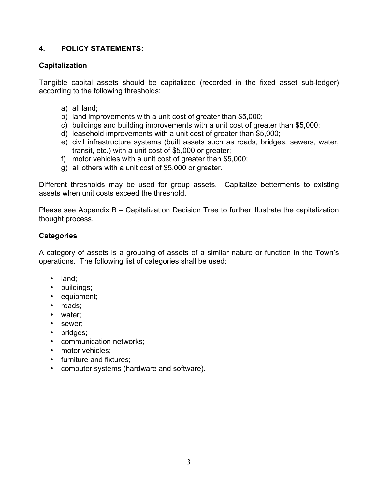## **4. POLICY STATEMENTS:**

## **Capitalization**

Tangible capital assets should be capitalized (recorded in the fixed asset sub-ledger) according to the following thresholds:

- a) all land;
- b) land improvements with a unit cost of greater than \$5,000;
- c) buildings and building improvements with a unit cost of greater than \$5,000;
- d) leasehold improvements with a unit cost of greater than \$5,000;
- e) civil infrastructure systems (built assets such as roads, bridges, sewers, water, transit, etc.) with a unit cost of \$5,000 or greater;
- f) motor vehicles with a unit cost of greater than \$5,000;
- g) all others with a unit cost of \$5,000 or greater.

Different thresholds may be used for group assets. Capitalize betterments to existing assets when unit costs exceed the threshold.

Please see Appendix B – Capitalization Decision Tree to further illustrate the capitalization thought process.

## **Categories**

A category of assets is a grouping of assets of a similar nature or function in the Town's operations. The following list of categories shall be used:

- land;
- buildings;
- equipment;
- roads;
- water;
- sewer;
- bridges;
- communication networks;
- motor vehicles:
- furniture and fixtures;
- computer systems (hardware and software).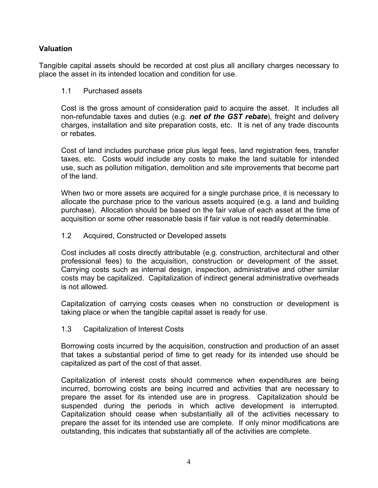## **Valuation**

Tangible capital assets should be recorded at cost plus all ancillary charges necessary to place the asset in its intended location and condition for use.

#### 1.1 Purchased assets

Cost is the gross amount of consideration paid to acquire the asset. It includes all non-refundable taxes and duties (e.g. *net of the GST rebate*), freight and delivery charges, installation and site preparation costs, etc. It is net of any trade discounts or rebates.

Cost of land includes purchase price plus legal fees, land registration fees, transfer taxes, etc. Costs would include any costs to make the land suitable for intended use, such as pollution mitigation, demolition and site improvements that become part of the land.

When two or more assets are acquired for a single purchase price, it is necessary to allocate the purchase price to the various assets acquired (e.g. a land and building purchase). Allocation should be based on the fair value of each asset at the time of acquisition or some other reasonable basis if fair value is not readily determinable.

#### 1.2 Acquired, Constructed or Developed assets

Cost includes all costs directly attributable (e.g. construction, architectural and other professional fees) to the acquisition, construction or development of the asset. Carrying costs such as internal design, inspection, administrative and other similar costs may be capitalized. Capitalization of indirect general administrative overheads is not allowed.

Capitalization of carrying costs ceases when no construction or development is taking place or when the tangible capital asset is ready for use.

#### 1.3 Capitalization of Interest Costs

Borrowing costs incurred by the acquisition, construction and production of an asset that takes a substantial period of time to get ready for its intended use should be capitalized as part of the cost of that asset.

Capitalization of interest costs should commence when expenditures are being incurred, borrowing costs are being incurred and activities that are necessary to prepare the asset for its intended use are in progress. Capitalization should be suspended during the periods in which active development is interrupted. Capitalization should cease when substantially all of the activities necessary to prepare the asset for its intended use are complete. If only minor modifications are outstanding, this indicates that substantially all of the activities are complete.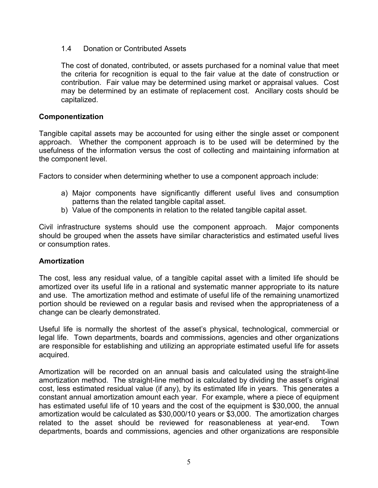### 1.4 Donation or Contributed Assets

The cost of donated, contributed, or assets purchased for a nominal value that meet the criteria for recognition is equal to the fair value at the date of construction or contribution. Fair value may be determined using market or appraisal values. Cost may be determined by an estimate of replacement cost. Ancillary costs should be capitalized.

#### **Componentization**

Tangible capital assets may be accounted for using either the single asset or component approach. Whether the component approach is to be used will be determined by the usefulness of the information versus the cost of collecting and maintaining information at the component level.

Factors to consider when determining whether to use a component approach include:

- a) Major components have significantly different useful lives and consumption patterns than the related tangible capital asset.
- b) Value of the components in relation to the related tangible capital asset.

Civil infrastructure systems should use the component approach. Major components should be grouped when the assets have similar characteristics and estimated useful lives or consumption rates.

#### **Amortization**

The cost, less any residual value, of a tangible capital asset with a limited life should be amortized over its useful life in a rational and systematic manner appropriate to its nature and use. The amortization method and estimate of useful life of the remaining unamortized portion should be reviewed on a regular basis and revised when the appropriateness of a change can be clearly demonstrated.

Useful life is normally the shortest of the asset's physical, technological, commercial or legal life. Town departments, boards and commissions, agencies and other organizations are responsible for establishing and utilizing an appropriate estimated useful life for assets acquired.

Amortization will be recorded on an annual basis and calculated using the straight-line amortization method. The straight-line method is calculated by dividing the asset's original cost, less estimated residual value (if any), by its estimated life in years. This generates a constant annual amortization amount each year. For example, where a piece of equipment has estimated useful life of 10 years and the cost of the equipment is \$30,000, the annual amortization would be calculated as \$30,000/10 years or \$3,000. The amortization charges related to the asset should be reviewed for reasonableness at year-end. Town departments, boards and commissions, agencies and other organizations are responsible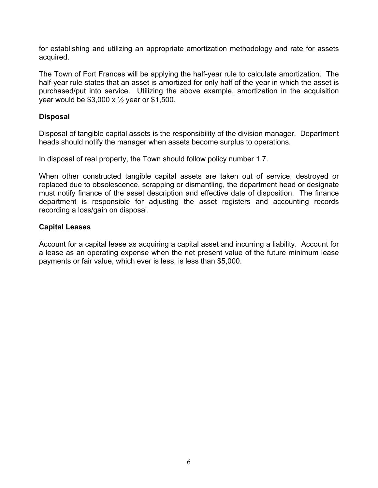for establishing and utilizing an appropriate amortization methodology and rate for assets acquired.

The Town of Fort Frances will be applying the half-year rule to calculate amortization. The half-year rule states that an asset is amortized for only half of the year in which the asset is purchased/put into service. Utilizing the above example, amortization in the acquisition year would be  $$3,000 \times \frac{1}{2}$  year or \$1,500.

#### **Disposal**

Disposal of tangible capital assets is the responsibility of the division manager. Department heads should notify the manager when assets become surplus to operations.

In disposal of real property, the Town should follow policy number 1.7.

When other constructed tangible capital assets are taken out of service, destroyed or replaced due to obsolescence, scrapping or dismantling, the department head or designate must notify finance of the asset description and effective date of disposition. The finance department is responsible for adjusting the asset registers and accounting records recording a loss/gain on disposal.

#### **Capital Leases**

Account for a capital lease as acquiring a capital asset and incurring a liability. Account for a lease as an operating expense when the net present value of the future minimum lease payments or fair value, which ever is less, is less than \$5,000.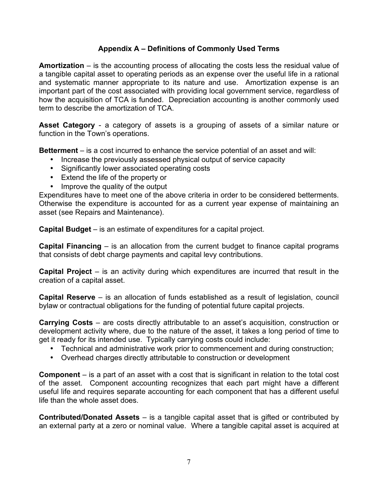## **Appendix A – Definitions of Commonly Used Terms**

**Amortization** – is the accounting process of allocating the costs less the residual value of a tangible capital asset to operating periods as an expense over the useful life in a rational and systematic manner appropriate to its nature and use. Amortization expense is an important part of the cost associated with providing local government service, regardless of how the acquisition of TCA is funded. Depreciation accounting is another commonly used term to describe the amortization of TCA.

Asset Category - a category of assets is a grouping of assets of a similar nature or function in the Town's operations.

**Betterment** – is a cost incurred to enhance the service potential of an asset and will:

- Increase the previously assessed physical output of service capacity
- Significantly lower associated operating costs
- Extend the life of the property or
- Improve the quality of the output

Expenditures have to meet one of the above criteria in order to be considered betterments. Otherwise the expenditure is accounted for as a current year expense of maintaining an asset (see Repairs and Maintenance).

**Capital Budget** – is an estimate of expenditures for a capital project.

**Capital Financing** – is an allocation from the current budget to finance capital programs that consists of debt charge payments and capital levy contributions.

**Capital Project** – is an activity during which expenditures are incurred that result in the creation of a capital asset.

**Capital Reserve** – is an allocation of funds established as a result of legislation, council bylaw or contractual obligations for the funding of potential future capital projects.

**Carrying Costs** – are costs directly attributable to an asset's acquisition, construction or development activity where, due to the nature of the asset, it takes a long period of time to get it ready for its intended use. Typically carrying costs could include:

- Technical and administrative work prior to commencement and during construction;
- Overhead charges directly attributable to construction or development

**Component** – is a part of an asset with a cost that is significant in relation to the total cost of the asset. Component accounting recognizes that each part might have a different useful life and requires separate accounting for each component that has a different useful life than the whole asset does.

**Contributed/Donated Assets** – is a tangible capital asset that is gifted or contributed by an external party at a zero or nominal value. Where a tangible capital asset is acquired at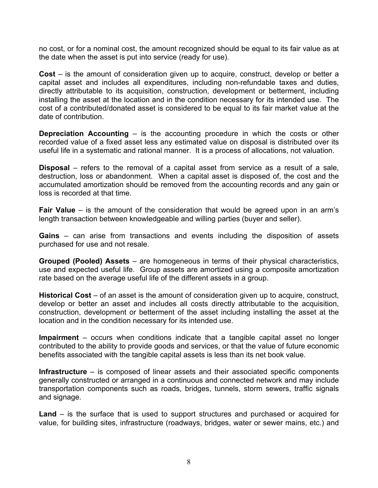no cost, or for a nominal cost, the amount recognized should be equal to its fair value as at the date when the asset is put into service (ready for use).

**Cost** – is the amount of consideration given up to acquire, construct, develop or better a capital asset and includes all expenditures, including non-refundable taxes and duties, directly attributable to its acquisition, construction, development or betterment, including installing the asset at the location and in the condition necessary for its intended use. The cost of a contributed/donated asset is considered to be equal to its fair market value at the date of contribution.

**Depreciation Accounting** – is the accounting procedure in which the costs or other recorded value of a fixed asset less any estimated value on disposal is distributed over its useful life in a systematic and rational manner. It is a process of allocations, not valuation.

**Disposal** – refers to the removal of a capital asset from service as a result of a sale, destruction, loss or abandonment. When a capital asset is disposed of, the cost and the accumulated amortization should be removed from the accounting records and any gain or loss is recorded at that time.

**Fair Value** – is the amount of the consideration that would be agreed upon in an arm's length transaction between knowledgeable and willing parties (buyer and seller).

**Gains** – can arise from transactions and events including the disposition of assets purchased for use and not resale.

**Grouped (Pooled) Assets** – are homogeneous in terms of their physical characteristics, use and expected useful life. Group assets are amortized using a composite amortization rate based on the average useful life of the different assets in a group.

**Historical Cost** – of an asset is the amount of consideration given up to acquire, construct, develop or better an asset and includes all costs directly attributable to the acquisition, construction, development or betterment of the asset including installing the asset at the location and in the condition necessary for its intended use.

**Impairment** – occurs when conditions indicate that a tangible capital asset no longer contributed to the ability to provide goods and services, or that the value of future economic benefits associated with the tangible capital assets is less than its net book value.

**Infrastructure** – is composed of linear assets and their associated specific components generally constructed or arranged in a continuous and connected network and may include transportation components such as roads, bridges, tunnels, storm sewers, traffic signals and signage.

**Land** – is the surface that is used to support structures and purchased or acquired for value, for building sites, infrastructure (roadways, bridges, water or sewer mains, etc.) and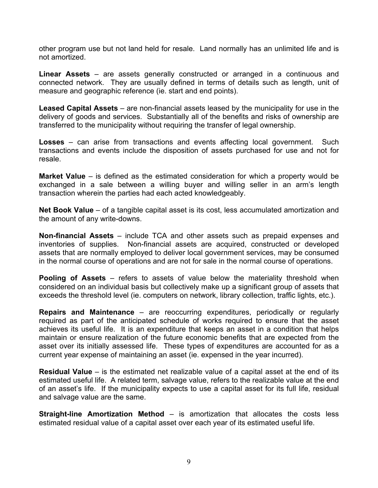other program use but not land held for resale. Land normally has an unlimited life and is not amortized.

**Linear Assets** – are assets generally constructed or arranged in a continuous and connected network. They are usually defined in terms of details such as length, unit of measure and geographic reference (ie. start and end points).

**Leased Capital Assets** – are non-financial assets leased by the municipality for use in the delivery of goods and services. Substantially all of the benefits and risks of ownership are transferred to the municipality without requiring the transfer of legal ownership.

**Losses** – can arise from transactions and events affecting local government. Such transactions and events include the disposition of assets purchased for use and not for resale.

**Market Value** – is defined as the estimated consideration for which a property would be exchanged in a sale between a willing buyer and willing seller in an arm's length transaction wherein the parties had each acted knowledgeably.

**Net Book Value** – of a tangible capital asset is its cost, less accumulated amortization and the amount of any write-downs.

**Non-financial Assets** – include TCA and other assets such as prepaid expenses and inventories of supplies. Non-financial assets are acquired, constructed or developed assets that are normally employed to deliver local government services, may be consumed in the normal course of operations and are not for sale in the normal course of operations.

**Pooling of Assets** – refers to assets of value below the materiality threshold when considered on an individual basis but collectively make up a significant group of assets that exceeds the threshold level (ie. computers on network, library collection, traffic lights, etc.).

**Repairs and Maintenance** – are reoccurring expenditures, periodically or regularly required as part of the anticipated schedule of works required to ensure that the asset achieves its useful life. It is an expenditure that keeps an asset in a condition that helps maintain or ensure realization of the future economic benefits that are expected from the asset over its initially assessed life. These types of expenditures are accounted for as a current year expense of maintaining an asset (ie. expensed in the year incurred).

**Residual Value** – is the estimated net realizable value of a capital asset at the end of its estimated useful life. A related term, salvage value, refers to the realizable value at the end of an asset's life. If the municipality expects to use a capital asset for its full life, residual and salvage value are the same.

**Straight-line Amortization Method** – is amortization that allocates the costs less estimated residual value of a capital asset over each year of its estimated useful life.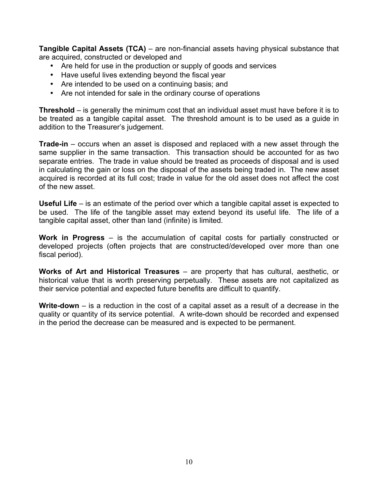**Tangible Capital Assets (TCA)** – are non-financial assets having physical substance that are acquired, constructed or developed and

- Are held for use in the production or supply of goods and services
- Have useful lives extending beyond the fiscal year
- Are intended to be used on a continuing basis; and
- Are not intended for sale in the ordinary course of operations

**Threshold** – is generally the minimum cost that an individual asset must have before it is to be treated as a tangible capital asset. The threshold amount is to be used as a guide in addition to the Treasurer's judgement.

**Trade-in** – occurs when an asset is disposed and replaced with a new asset through the same supplier in the same transaction. This transaction should be accounted for as two separate entries. The trade in value should be treated as proceeds of disposal and is used in calculating the gain or loss on the disposal of the assets being traded in. The new asset acquired is recorded at its full cost; trade in value for the old asset does not affect the cost of the new asset.

**Useful Life** – is an estimate of the period over which a tangible capital asset is expected to be used. The life of the tangible asset may extend beyond its useful life. The life of a tangible capital asset, other than land (infinite) is limited.

**Work in Progress** – is the accumulation of capital costs for partially constructed or developed projects (often projects that are constructed/developed over more than one fiscal period).

**Works of Art and Historical Treasures** – are property that has cultural, aesthetic, or historical value that is worth preserving perpetually. These assets are not capitalized as their service potential and expected future benefits are difficult to quantify.

**Write-down** – is a reduction in the cost of a capital asset as a result of a decrease in the quality or quantity of its service potential. A write-down should be recorded and expensed in the period the decrease can be measured and is expected to be permanent.